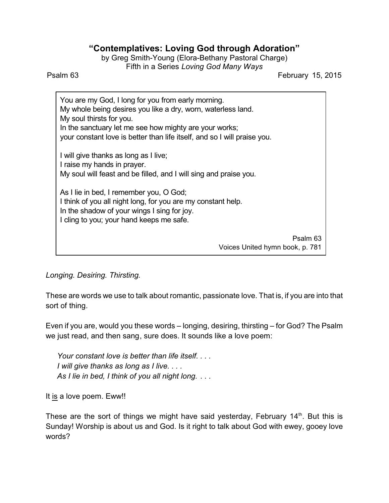## **"Contemplatives: Loving God through Adoration"**

by Greg Smith-Young (Elora-Bethany Pastoral Charge) Fifth in a Series *Loving God Many Ways*

Psalm 63 February 15, 2015

You are my God, I long for you from early morning. My whole being desires you like a dry, worn, waterless land. My soul thirsts for you. In the sanctuary let me see how mighty are your works; your constant love is better than life itself, and so I will praise you. I will give thanks as long as I live; I raise my hands in prayer. My soul will feast and be filled, and I will sing and praise you. As I lie in bed, I remember you, O God; I think of you all night long, for you are my constant help. In the shadow of your wings I sing for joy. I cling to you; your hand keeps me safe. Psalm 63 Voices United hymn book, p. 781

*Longing. Desiring. Thirsting.*

These are words we use to talk about romantic, passionate love. That is, if you are into that sort of thing.

Even if you are, would you these words – longing, desiring, thirsting – for God? The Psalm we just read, and then sang, sure does. It sounds like a love poem:

*Your constant love is better than life itself. . . . I will give thanks as long as I live. . . . As I lie in bed, I think of you all night long.* . . .

It is a love poem. Eww!!

These are the sort of things we might have said yesterday, February 14<sup>th</sup>. But this is Sunday! Worship is about us and God. Is it right to talk about God with ewey, gooey love words?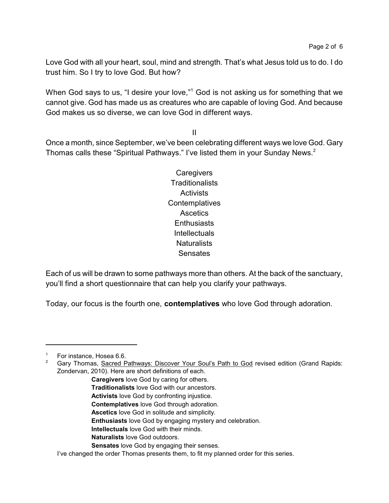Love God with all your heart, soul, mind and strength. That's what Jesus told us to do. I do trust him. So I try to love God. But how?

When God says to us, "I desire your love,"<sup>1</sup> God is not asking us for something that we cannot give. God has made us as creatures who are capable of loving God. And because God makes us so diverse, we can love God in different ways.

II

Once a month, since September, we've been celebrating different ways we love God. Gary Thomas calls these "Spiritual Pathways." I've listed them in your Sunday News.<sup>2</sup>

> **Caregivers Traditionalists Activists Contemplatives Ascetics Enthusiasts** Intellectuals **Naturalists** Sensates

Each of us will be drawn to some pathways more than others. At the back of the sanctuary, you'll find a short questionnaire that can help you clarify your pathways.

Today, our focus is the fourth one, **contemplatives** who love God through adoration.

- **Caregivers** love God by caring for others.
- **Traditionalists** love God with our ancestors.
- **Activists** love God by confronting injustice.
- **Contemplatives** love God through adoration.
- **Ascetics** love God in solitude and simplicity.
- **Enthusiasts** love God by engaging mystery and celebration.
- **Intellectuals** love God with their minds.
- **Naturalists** love God outdoors.
- **Sensates** love God by engaging their senses.

<sup>&</sup>lt;sup>1</sup> For instance, Hosea 6.6.<br><sup>2</sup> Gary Thomas, Sacred P

<sup>2</sup> Gary Thomas, Sacred Pathways: Discover Your Soul's Path to God revised edition (Grand Rapids: Zondervan, 2010). Here are short definitions of each.

I've changed the order Thomas presents them, to fit my planned order for this series.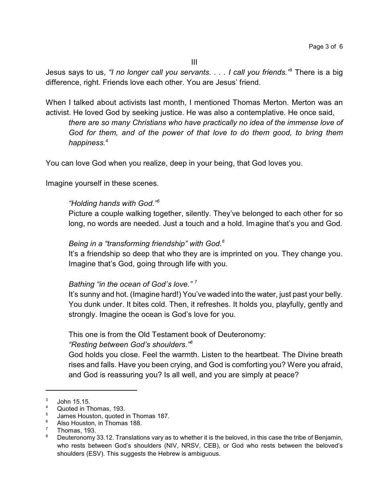Jesus says to us, *"I no longer call you servants. . . . I call you friends."*<sup>3</sup> There is a big difference, right. Friends love each other. You are Jesus' friend.

When I talked about activists last month, I mentioned Thomas Merton. Merton was an activist. He loved God by seeking justice. He was also a contemplative. He once said,

*there are so many Christians who have practically no idea of the immense love of God for them, and of the power of that love to do them good, to bring them happiness.*<sup>4</sup>

You can love God when you realize, deep in your being, that God loves you.

Imagine yourself in these scenes.

## *"Holding hands with God."<sup>5</sup>*

Picture a couple walking together, silently. They've belonged to each other for so long, no words are needed. Just a touch and a hold. Imagine that's you and God.

## *Being in a "transforming friendship" with God.<sup>6</sup>*

It's a friendship so deep that who they are is imprinted on you. They change you. Imagine that's God, going through life with you.

## *Bathing "in the ocean of God's love." <sup>7</sup>*

It's sunny and hot. (Imagine hard!) You've waded into the water, just past your belly. You dunk under. It bites cold. Then, it refreshes. It holds you, playfully, gently and strongly. Imagine the ocean is God's love for you.

This one is from the Old Testament book of Deuteronomy:

*"Resting between God's shoulders."<sup>8</sup>*

God holds you close. Feel the warmth. Listen to the heartbeat. The Divine breath rises and falls. Have you been crying, and God is comforting you? Were you afraid, and God is reassuring you? Is all well, and you are simply at peace?

<sup>3</sup> John 15.15.

<sup>4</sup> Quoted in Thomas, 193.

<sup>5</sup> James Houston, quoted in Thomas 187.

 $^{6}$  Also Houston, in Thomas 188.

 $\frac{7}{8}$  Thomas, 193.

Deuteronomy 33.12. Translations vary as to whether it is the beloved, in this case the tribe of Benjamin, who rests between God's shoulders (NIV, NRSV, CEB), or God who rests between the beloved's shoulders (ESV). This suggests the Hebrew is ambiguous.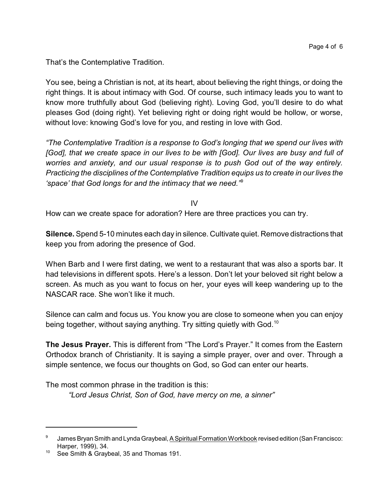That's the Contemplative Tradition.

You see, being a Christian is not, at its heart, about believing the right things, or doing the right things. It is about intimacy with God. Of course, such intimacy leads you to want to know more truthfully about God (believing right). Loving God, you'll desire to do what pleases God (doing right). Yet believing right or doing right would be hollow, or worse, without love: knowing God's love for you, and resting in love with God.

*"The Contemplative Tradition is a response to God's longing that we spend our lives with [God], that we create space in our lives to be with [God]. Our lives are busy and full of worries and anxiety, and our usual response is to push God out of the way entirely. Practicing the disciplines of the Contemplative Tradition equips us to create in our lives the 'space' that God longs for and the intimacy that we need."*<sup>9</sup>

IV

How can we create space for adoration? Here are three practices you can try.

**Silence.** Spend 5-10 minutes each day in silence. Cultivate quiet. Remove distractions that keep you from adoring the presence of God.

When Barb and I were first dating, we went to a restaurant that was also a sports bar. It had televisions in different spots. Here's a lesson. Don't let your beloved sit right below a screen. As much as you want to focus on her, your eyes will keep wandering up to the NASCAR race. She won't like it much.

Silence can calm and focus us. You know you are close to someone when you can enjoy being together, without saying anything. Try sitting quietly with God.<sup>10</sup>

**The Jesus Prayer.** This is different from "The Lord's Prayer." It comes from the Eastern Orthodox branch of Christianity. It is saying a simple prayer, over and over. Through a simple sentence, we focus our thoughts on God, so God can enter our hearts.

The most common phrase in the tradition is this:

*"Lord Jesus Christ, Son of God, have mercy on me, a sinner"*

<sup>9</sup> James Bryan Smith and Lynda Graybeal, A Spiritual Formation Workbook revised edition (San Francisco: Harper, 1999), 34.

<sup>&</sup>lt;sup>10</sup> See Smith & Graybeal, 35 and Thomas 191.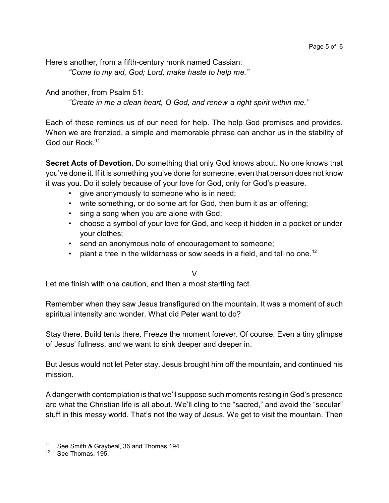Here's another, from a fifth-century monk named Cassian: *"Come to my aid, God; Lord, make haste to help me."*

And another, from Psalm 51:

*"Create in me a clean heart, O God, and renew a right spirit within me."*

Each of these reminds us of our need for help. The help God promises and provides. When we are frenzied, a simple and memorable phrase can anchor us in the stability of God our Rock.<sup>11</sup>

**Secret Acts of Devotion.** Do something that only God knows about. No one knows that you've done it. If it is something you've done for someone, even that person does not know it was you. Do it solely because of your love for God, only for God's pleasure.

- give anonymously to someone who is in need;
- write something, or do some art for God, then burn it as an offering;
- sing a song when you are alone with God;
- choose a symbol of your love for God, and keep it hidden in a pocket or under your clothes;
- send an anonymous note of encouragement to someone;
- plant a tree in the wilderness or sow seeds in a field, and tell no one.<sup>12</sup>

V

Let me finish with one caution, and then a most startling fact.

Remember when they saw Jesus transfigured on the mountain. It was a moment of such spiritual intensity and wonder. What did Peter want to do?

Stay there. Build tents there. Freeze the moment forever. Of course. Even a tiny glimpse of Jesus' fullness, and we want to sink deeper and deeper in.

But Jesus would not let Peter stay. Jesus brought him off the mountain, and continued his mission.

A danger with contemplation is that we'll suppose such moments resting in God's presence are what the Christian life is all about. We'll cling to the "sacred," and avoid the "secular" stuff in this messy world. That's not the way of Jesus. We get to visit the mountain. Then

<sup>&</sup>lt;sup>11</sup> See Smith & Graybeal, 36 and Thomas 194.

<sup>12</sup> See Thomas, 195.